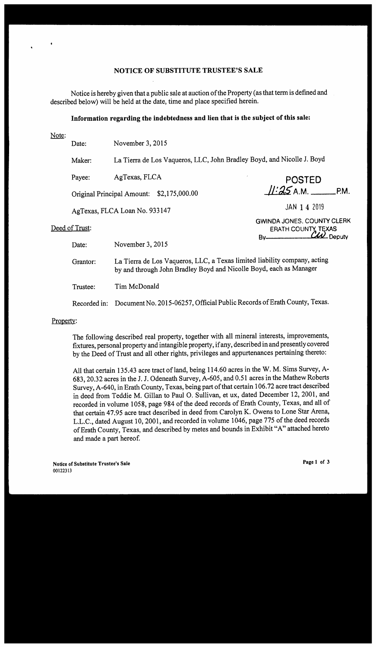### **NOTICE OF SUBSTITUTE TRUSTEE'S SALE**

Notice is hereby given that a public sale at auction of the Property (as that term is defined and described below) will be held at the date, time and place specified herein.

# **Information regarding the indebtedness and lien that is the subject of this sale:**

Date: November 3, 2015

Maker: La Tierra de Los Vaqueros, LLC, John Bradley Boyd, and Nicolle J. Boyd

Payee: AgTexas, FLCA

Original Principal Amount: \$2,175,000.00

AgTexas, FLCA Loan No. 933147

## Deed of Trust:

Date: November 3, 2015

Grantor: La Tierra de Los Vaqueros, LLC, a Texas limited liability company, acting by and through John Bradley Boyd and Nicolle Boyd, each as Manager

Trustee: Tim McDonald

Recorded in: Document No. 2015-06257, Official Public Records of Erath County, Texas.

## Property:

The following described real property, together with all mineral interests, improvements, fixtures, personal property and intangible property, if any, described in and presently covered by the Deed of Trust and all other rights, privileges and appurtenances pertaining thereto:

All that certain 135.43 acre tract of land, being 114.60 acres in the W. M. Sims Survey, A-683, 20.32 acres in the J. J. Odeneath Survey, A-605, and 0.51 acres in the Mathew Roberts Survey, A-640, in Erath County, Texas, being part of that certain 106.72 acre tract described in deed from Teddie M. Gillan to Paul 0. Sullivan, et ux, dated December 12, 2001, and recorded in volume 1058, page 984 of the deed records of Erath County, Texas, and all of that certain 47.95 acre tract described in deed from Carolyn K. Owens to Lone Star Arena, L.L.C., dated August 10, 2001, and recorded in volume 1046, page 775 of the deed records of Erath County, Texas, and described by metes and bounds in Exhibit "A" attached hereto and made a part hereof.

**Notice of Substitute Trustee's Sale**  00122313

**Page 1 of 3** 

**POSTED /J-'().5 A.M. \_\_ P.M.** 

**GWINDA JONES. COUNTY CLERK ERATH COUNTY TEXAS** 

By Deputy

JAN 1 4 2019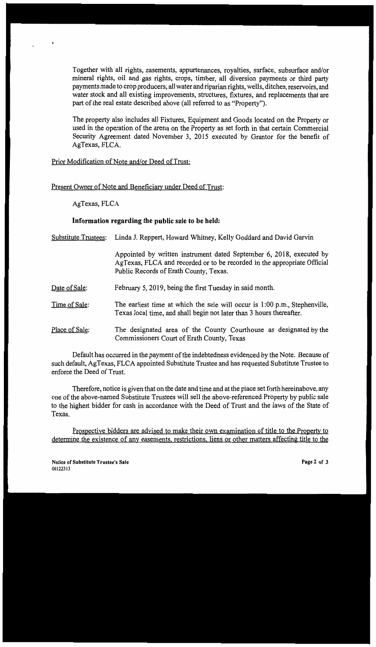Together with all rights, easements, appurtenances, royalties, surface, subsurface and/or mineral rights, oil and gas rights, crops, timber, all diversion payments or third party payments made to crop producers, all water and riparian rights, wells, ditches, reservoirs, and water stock and all existing improvements, structures, fixtures, and replacements that are part of the real estate described above (all referred to as "Property").

The property also includes all Fixtures, Equipment and Goods located on the Property or used in the operation of the arena on the Property as set forth in that certain Commercial Security Agreement dated November 3, 2015 executed by Grantor for the benefit of AgTexas, FLCA.

Prior Modification of Note and/or Deed of Trust:

Present Owner of Note and Beneficiary under Deed of Trust:

AgTexas, FLCA

#### **Information regarding the public sale to be held:**

Substitute Trustees: Linda J. Reppert, Howard Whitney, Kelly Goddard and David Garvin

Appointed by written instrument dated September 6, 2018, executed by AgTexas, FLCA and recorded or to be recorded in the appropriate Official Public Records of Erath County, Texas.

- Date of Sale: February 5, 2019, being the first Tuesday in said month.
- Time of Sale: The earliest time at which the sale will occur is 1:00 p.m., Stephenville, Texas local time, and shall begin not later than 3 hours thereafter.
- Place of Sale: The designated area of the County Courthouse as designated by the Commissioners Court of Erath County, Texas

Default has occurred in the payment of the indebtedness evidenced by the Note. Because of such default, AgTexas, FLCA appointed Substitute Trustee and has requested Substitute Trustee to enforce the Deed of Trust.

Therefore, notice is given that on the date and time and at the place set forth hereinabove, any one of the above-named Substitute Trustees will sell the above-referenced Property by public sale to the highest bidder for cash in accordance with the Deed of Trust and the laws of the State of Texas.

Prospective bidders are advised to make their own examination of title to the Property to determine the existence of any easements, restrictions, liens or other matters affecting title to the

**Notice of Substitute Trustee's Sale**  00122313

**Page 2 of 3**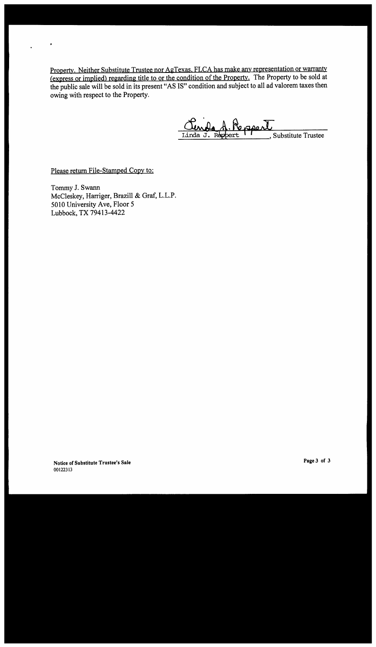Property. Neither Substitute Trustee nor AgTexas, FLCA has make any representation or warranty (express or implied) regarding title to or the condition of the Property. The Property to be sold at the public sale will be sold in its present "AS IS" condition and subject to all ad valorem taxes then owing with respect to the Property.

Persper Substitute Trustee Linda J

Please return File-Stamped Copy to:

Tommy J. Swann McCleskey, Harriger, Brazill & Graf, L.L.P. 5010 University Ave, Floor 5 Lubbock, TX79413-4422

**Notice of Substitute Trustee's Sale**  00122313

**Page 3 of 3**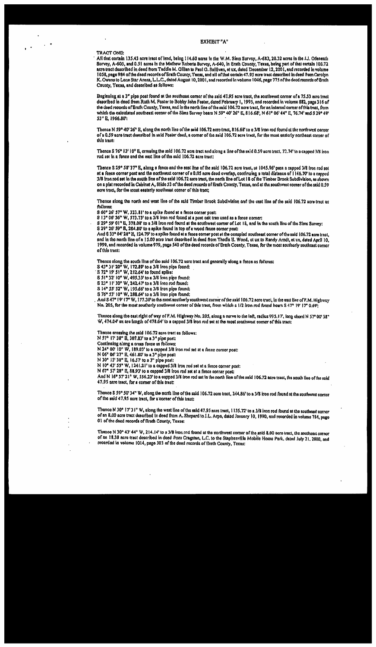#### **EXHIBIT "A"**

#### TRACT ONE:

All that cortain 135.43 acre tract of land, being 114.60 acres in the W.M. Sinus Survey, A-683, 20.32 acres in the J.J. Odenemin Survey, A-605, and 0.51 acres in the Mathew Roberts Survey, A-640, in Erath County, Texas, being part of that certain 106.72 acre tract described in deed from Teddle M. Oillan to Paul O. Sullivan, et ux, dated December 12, 2001, and recorded in volume 1058, page 984 of the deed records of Brath County, Texas, and all of that certain 47.95 acre tract described in deed from Carolyn K. Owens to Lone Star Arena, L.I.C., dated August 10, 2001, and recorded in volume 1046, nage 775 nf the deed records of Grath County, Texas, and described as follows;

Beginning at a 3" pipe post found at the southeast corner of the said 47.95 acre tract, the southwest corner of a 75.53 acro tract described in deed from Ruth M. Foster to Bobby John Foster, dated February 1, 1995, and recorded in volume 882, page 316 of the doed rooords of Brath County, Texas, and in the north line of the said 106.72 acre tract, for an internal corner of this tract, from which the calculated southeast corner of the Sims Survey bears N 59° 40' 26" E, 816.68', N 61° 06' 44" E, 76.74' and S 29° 49' 53" E, 1966.80';

Thence N 59° 40' 26" E, along the north line of the said 106.72 acro tract, 816.68' to a 3/8 iron rod found at the northwest corner of a 0.59 acre tract doscribed in said Poster deed, a corner of the said 106.72 acre tract, for the most easterly northeast corner of this tract:

Thence S 76° 13' 10" B, crassing the said 106.72 scre tract and along a line of the said 0.59 acre tract. 72.74' to a capped 3/8 iron rod set in a fence and the east line of the said 106.72 acre tract:

Thence S 29° 58' 37" E, along a fonco and the east line of the said 106.72 acre tract, at 1045.96' pass a capped 3/8 fron rod sot at a fence corner post and the northwest corner of a 0.05 nore deed overlap, continuing a total distance of 1146.70 to a capped 3/8 fron rod set in the south {ine of the said 106.72 aero tract, the north line of Lot 18 of the Timber Brook Subdivision, as shown on a plat recorded in Cabinet A, Slide 53 of the deed records of Brath County, Texas, and at the southwest corner of the said 0.59 acre teact, for the most easterly southeast corner of this tract;

Thence along the north and west line of the said Timber Brook Subdivision and the cast line of the said 106.72 acre tract as follows:

S 60° 26' 57" W, 323.81' to a spike found at a fence corner post:

S 13° 06' 36" W, 573.73' to a 3/8 iron rod found at a post oak tree used as a fence corner;

S 29° 59' 01" E, 378.08' to a 3/8 iron rod found at the southwest corner of Lot 18, and in the south line of the Sims Survey; S 29° 26' 59" B, 284.80' to a spike found in top of a wood fence corner post:

And S 33° 04' 28" E, 124.79' to a spike found at a fonce comer post at the occupied southeast corner of the said 106.72 acre iract, and in the north line of a 15.00 acro tract described in deed from Thodis B. Wood, et ux to Randy Arndt, et ux, dated April 10, 1999, and recorded in volume 979, page 540 of the deed records of Brath County, Texas, for the most southerly southeast corner of this tract:

Thence along the south line of the said 106.72 acre tract and generally slong a fence as follows:

S 43° 31' 20" W, 172.89' to a 3/8 from pipe found:<br>S 72° 19' 51" W, 212.64' to found spike:

S 51° 32' 10" W, 495.33' to a 3/8 from pipe found:

S 23° 11' 30" W, 242.47' to a 3/8 from rod found: S 14° 55' 52" W, 195.66' to a 3/8 from pipe found:

S 76° 53' 10" W, 288.64' to a 3/8 from pipe found:

And S 47° 19' 17" W. 177.30' to the most southerly southwest corner of the said 106.72 acre tract, in the east line of F.M. Highway No. 205, for the most southerly southwest corner of this tract, from which a 1/2 iron rod found boars S 47° 19' 17" 0.69%

Thence along the east right of way of P.M. Highway No. 205, along a curve to die left, radius 995.17', long chord N 57° 00' 38" W, 474.04' an are length of 478.64' to a capped 3/8 iron red set at the most southwest corner of this tract:

Thence crossing the said 106.72 acre tract as follows:

N 57° 17' 38" B, 307.83' to a 3" pipe post: Continuing along a cross fonce as follows:

N 24° 00' 10" W, 189.03' to a capped 3/8 iron rod set at a fence corner post:

N 06° 06' 27" E, 461.80' to a 3" pipe post:

N 30° 13' 30" E, 16.57' to a 3" pipe post:

N 10° 43' 55" W, 1241.21' to a capped 3/8 iron rod set at a fonce cornor post:

N 67° 57' 28" R, 88.93' to a capped 3/8 from rod set at a fence correr post:

And N 16° 57' 21" W, 556.23' to a capped 3/8 fron rod set in the north line of the said 106.72 acre tract, the south line of the said 47.95 acre tract, for a corner of this tract:

Thence S 59° 50' 34" W, along the north line of the said 106.72 acre tract, 244.86' to a 3/8 iron rod found at the southwest corner of the said 47.95 acre tract, for a corner of this tract:

Thonca N 30° 17' 31" W, along the west line of the sald 47.95 acre tract, 1135.72' to a 3/8 iron rod found at the southeast corner of an 8.00 acre tract described in deed from A. Shepard to J.L. Arpo, dated January 10, 1990, and recorded in volume 784, pago 01 of the deed records of Brath County, Texas:

Thence N 30° 43' 44" W, 214.14' to a 3/8 iron rad found at the northwest comer of the said 8.00 acre tract, the southeast corner of an 18.38 acro tract described in deed from Cragstan, L.C. to the Stephenville Mobile Home Park, dated July 21, 2000, and recorded in volume 1014, page 301 of the deed records of Erath County, Texas: